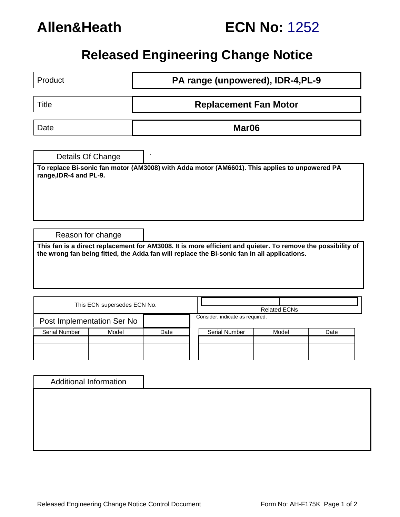

|  | <b>ECN No: 1252</b> |  |
|--|---------------------|--|
|--|---------------------|--|

# **Released Engineering Change Notice**

| Product                                                                                                                                                                                                    |                               | PA range (unpowered), IDR-4, PL-9 |  |                                                                                               |  |                     |      |  |  |  |
|------------------------------------------------------------------------------------------------------------------------------------------------------------------------------------------------------------|-------------------------------|-----------------------------------|--|-----------------------------------------------------------------------------------------------|--|---------------------|------|--|--|--|
| <b>Title</b>                                                                                                                                                                                               |                               | <b>Replacement Fan Motor</b>      |  |                                                                                               |  |                     |      |  |  |  |
| Date                                                                                                                                                                                                       |                               | Mar <sub>06</sub>                 |  |                                                                                               |  |                     |      |  |  |  |
|                                                                                                                                                                                                            | Details Of Change             |                                   |  |                                                                                               |  |                     |      |  |  |  |
| range, IDR-4 and PL-9.                                                                                                                                                                                     |                               |                                   |  | To replace Bi-sonic fan motor (AM3008) with Adda motor (AM6601). This applies to unpowered PA |  |                     |      |  |  |  |
|                                                                                                                                                                                                            |                               |                                   |  |                                                                                               |  |                     |      |  |  |  |
|                                                                                                                                                                                                            |                               |                                   |  |                                                                                               |  |                     |      |  |  |  |
|                                                                                                                                                                                                            | Reason for change             |                                   |  |                                                                                               |  |                     |      |  |  |  |
| This fan is a direct replacement for AM3008. It is more efficient and quieter. To remove the possibility of<br>the wrong fan being fitted, the Adda fan will replace the Bi-sonic fan in all applications. |                               |                                   |  |                                                                                               |  |                     |      |  |  |  |
|                                                                                                                                                                                                            |                               |                                   |  |                                                                                               |  |                     |      |  |  |  |
|                                                                                                                                                                                                            | This ECN supersedes ECN No.   |                                   |  |                                                                                               |  | <b>Related ECNs</b> |      |  |  |  |
| Post Implementation Ser No                                                                                                                                                                                 |                               |                                   |  | Consider, indicate as required.                                                               |  |                     |      |  |  |  |
| <b>Serial Number</b>                                                                                                                                                                                       | Model                         | Date                              |  | <b>Serial Number</b>                                                                          |  | Model               | Date |  |  |  |
|                                                                                                                                                                                                            |                               |                                   |  |                                                                                               |  |                     |      |  |  |  |
|                                                                                                                                                                                                            |                               |                                   |  |                                                                                               |  |                     |      |  |  |  |
|                                                                                                                                                                                                            | <b>Additional Information</b> |                                   |  |                                                                                               |  |                     |      |  |  |  |
|                                                                                                                                                                                                            |                               |                                   |  |                                                                                               |  |                     |      |  |  |  |